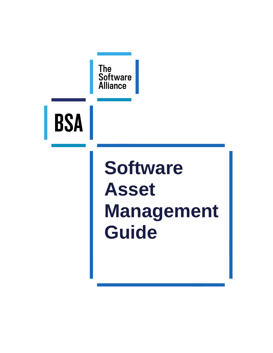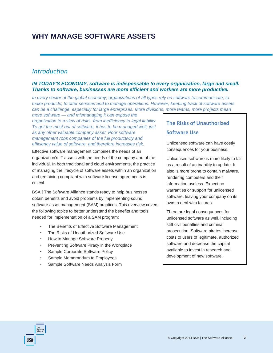## **WHY MANAGE SOFTWARE ASSETS**

### *Introduction*

### *IN TODAY'S ECONOMY, software is indispensable to every organization, large and small. Thanks to software, businesses are more efficient and workers are more productive.*

*In every sector of the global economy, organizations of all types rely on software to communicate, to make products, to offer services and to manage operations. However, keeping track of software assets can be a challenge, especially for large enterprises. More divisions, more teams, more projects mean* 

*more software — and mismanaging it can expose the organization to a slew of risks, from inefficiency to legal liability. To get the most out of software, it has to be managed well, just as any other valuable company asset. Poor software management robs companies of the full productivity and efficiency value of software, and therefore increases risk.*

Effective software management combines the needs of an organization's IT assets with the needs of the company and of the individual. In both traditional and cloud environments, the practice of managing the lifecycle of software assets within an organization and remaining compliant with software license agreements is critical.

BSA | The Software Alliance stands ready to help businesses obtain benefits and avoid problems by implementing sound software asset management (SAM) practices. This overview covers the following topics to better understand the benefits and tools needed for implementation of a SAM program:

- The Benefits of Effective Software Management
- The Risks of Unauthorized Software Use
- How to Manage Software Properly
- Preventing Software Piracy in the Workplace
- Sample Corporate Software Policy
- Sample Memorandum to Employees
- Sample Software Needs Analysis Form

# **The Risks of Unauthorized**

### **Software Use**

Unlicensed software can have costly consequences for your business.

Unlicensed software is more likely to fail as a result of an inability to update. It also is more prone to contain malware, rendering computers and their information useless. Expect no warranties or support for unlicensed software, leaving your company on its own to deal with failures.

There are legal consequences for unlicensed software as well, including stiff civil penalties and criminal prosecution. Software pirates increase costs to users of legitimate, authorized software and decrease the capital available to invest in research and development of new software.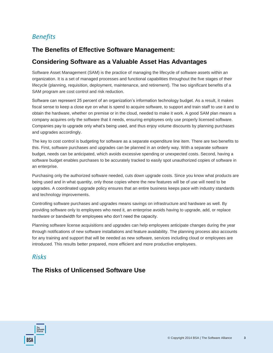## *Benefits*

## **The Benefits of Effective Software Management:**

### **Considering Software as a Valuable Asset Has Advantages**

Software Asset Management (SAM) is the practice of managing the lifecycle of software assets within an organization. It is a set of managed processes and functional capabilities throughout the five stages of their lifecycle (planning, requisition, deployment, maintenance, and retirement). The two significant benefits of a SAM program are cost control and risk reduction.

Software can represent 25 percent of an organization's information technology budget. As a result, it makes fiscal sense to keep a close eye on what is spend to acquire software, to support and train staff to use it and to obtain the hardware, whether on premise or in the cloud, needed to make it work. A good SAM plan means a company acquires only the software that it needs, ensuring employees only use properly licensed software. Companies pay to upgrade only what's being used, and thus enjoy volume discounts by planning purchases and upgrades accordingly.

The key to cost control is budgeting for software as a separate expenditure line item. There are two benefits to this. First, software purchases and upgrades can be planned in an orderly way. With a separate software budget, needs can be anticipated, which avoids excessive spending or unexpected costs. Second, having a software budget enables purchases to be accurately tracked to easily spot unauthorized copies of software in an enterprise.

Purchasing only the authorized software needed, cuts down upgrade costs. Since you know what products are being used and in what quantity, only those copies where the new features will be of use will need to be upgrades. A coordinated upgrade policy ensures that an entire business keeps pace with industry standards and technology improvements.

Controlling software purchases and upgrades means savings on infrastructure and hardware as well. By providing software only to employees who need it, an enterprise avoids having to upgrade, add, or replace hardware or bandwidth for employees who don't need the capacity.

Planning software license acquisitions and upgrades can help employees anticipate changes during the year through notifications of new software installations and feature availability. The planning process also accounts for any training and support that will be needed as new software, services including cloud or employees are introduced. This results better prepared, more efficient and more productive employees.

## *Risks*

## **The Risks of Unlicensed Software Use**

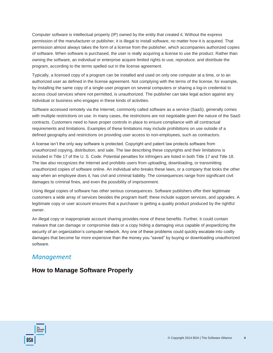Computer software is intellectual property (IP) owned by the entity that created it. Without the express permission of the manufacturer or publisher, it is illegal to install software, no matter how it is acquired. That permission almost always takes the form of a license from the publisher, which accompanies authorized copies of software. When software is purchased, the user is really acquiring a license to use the product. Rather than owning the software, an individual or enterprise acquire limited rights to use, reproduce, and distribute the program, according to the terms spelled out in the license agreement.

Typically, a licensed copy of a program can be installed and used on only one computer at a time, or to an authorized user as defined in the license agreement. Not complying with the terms of the license, for example, by installing the same copy of a single-user program on several computers or sharing a log-in credential to access cloud services where not permitted, is unauthorized. The publisher can take legal action against any individual or business who engages in these kinds of activities.

Software accessed remotely via the Internet, commonly called software as a service (SaaS), generally comes with multiple restrictions on use. In many cases, the restrictions are not negotiable given the nature of the SaaS contracts. Customers need to have proper controls in place to ensure compliance with all contractual requirements and limitations. Examples of these limitations may include prohibitions on use outside of a defined geography and restrictions on providing user access to non-employees, such as contractors.

A license isn't the only way software is protected. Copyright and patent law protects software from unauthorized copying, distribution, and sale. The law describing these copyrights and their limitations is included in Title 17 of the U. S. Code. Potential penalties for infringers are listed in both Title 17 and Title 18. The law also recognizes the Internet and prohibits users from uploading, downloading, or transmitting unauthorized copies of software online. An individual who breaks these laws, or a company that looks the other way when an employee does it, has civil and criminal liability. The consequences range from significant civil damages to criminal fines, and even the possibility of imprisonment.

Using illegal copies of software has other serious consequences. Software publishers offer their legitimate customers a wide array of services besides the program itself; these include support services, and upgrades. A legitimate copy or user account ensures that a purchaser is getting a quality product produced by the rightful owner.

An illegal copy or inappropriate account sharing provides none of these benefits. Further, it could contain malware that can damage or compromise data or a copy hiding a damaging virus capable of jeopardizing the security of an organization's computer network. Any one of these problems could quickly escalate into costly damages that become far more expensive than the money you "saved" by buying or downloading unauthorized software.

## *Management*

## **How to Manage Software Properly**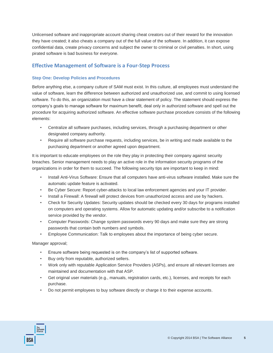Unlicensed software and inappropriate account sharing cheat creators out of their reward for the innovation they have created; it also cheats a company out of the full value of the software. In addition, it can expose confidential data, create privacy concerns and subject the owner to criminal or civil penalties. In short, using pirated software is bad business for everyone.

### **Effective Management of Software is a Four-Step Process**

#### **Step One: Develop Policies and Procedures**

Before anything else, a company culture of SAM must exist. In this culture, all employees must understand the value of software, learn the difference between authorized and unauthorized use, and commit to using licensed software. To do this, an organization must have a clear statement of policy. The statement should express the company's goals to manage software for maximum benefit, deal only in authorized software and spell out the procedure for acquiring authorized software. An effective software purchase procedure consists of the following elements:

- Centralize all software purchases, including services, through a purchasing department or other designated company authority.
- Require all software purchase requests, including services, be in writing and made available to the purchasing department or another agreed upon department.

It is important to educate employees on the role they play in protecting their company against security breaches. Senior management needs to play an active role in the information security programs of the organizations in order for them to succeed. The following security tips are important to keep in mind:

- Install Anti-Virus Software: Ensure that all computers have anti-virus software installed. Make sure the automatic update feature is activated.
- Be Cyber Secure: Report cyber-attacks to local law enforcement agencies and your IT provider.
- Install a Firewall: A firewall will protect devices from unauthorized access and use by hackers.
- Check for Security Updates: Security updates should be checked every 30 days for programs installed on computers and operating systems. Allow for automatic updating and/or subscribe to a notification service provided by the vendor.
- Computer Passwords: Change system passwords every 90 days and make sure they are strong passwords that contain both numbers and symbols.
- Employee Communication: Talk to employees about the importance of being cyber secure.

Manager approval;

- Ensure software being requested is on the company's list of supported software.
- Buy only from reputable, authorized sellers.
- Work only with reputable Application Service Providers (ASPs), and ensure all relevant licenses are maintained and documentation with that ASP.
- Get original user materials (e.g., manuals, registration cards, etc.), licenses, and receipts for each purchase.
- Do not permit employees to buy software directly or charge it to their expense accounts.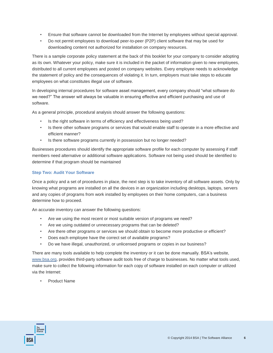- Ensure that software cannot be downloaded from the Internet by employees without special approval.
- Do not permit employees to download peer-to-peer (P2P) client software that may be used for downloading content not authorized for installation on company resources.

There is a sample corporate policy statement at the back of this booklet for your company to consider adopting as its own. Whatever your policy, make sure it is included in the packet of information given to new employees, distributed to all current employees and posted on company websites. Every employee needs to acknowledge the statement of policy and the consequences of violating it. In turn, employers must take steps to educate employees on what constitutes illegal use of software.

In developing internal procedures for software asset management, every company should "what software do we need?" The answer will always be valuable in ensuring effective and efficient purchasing and use of software.

As a general principle, procedural analysis should answer the following questions:

- Is the right software in terms of efficiency and effectiveness being used?
- Is there other software programs or services that would enable staff to operate in a more effective and efficient manner?
- Is there software programs currently in possession but no longer needed?

Businesses procedures should identify the appropriate software profile for each computer by assessing if staff members need alternative or additional software applications. Software not being used should be identified to determine if that program should be maintained

### **Step Two: Audit Your Software**

Once a policy and a set of procedures in place, the next step is to take inventory of all software assets. Only by knowing what programs are installed on all the devices in an organization including desktops, laptops, servers and any copies of programs from work installed by employees on their home computers, can a business determine how to proceed.

An accurate inventory can answer the following questions:

- Are we using the most recent or most suitable version of programs we need?
- Are we using outdated or unnecessary programs that can be deleted?
- Are there other programs or services we should obtain to become more productive or efficient?
- Does each employee have the correct set of available programs?
- Do we have illegal, unauthorized, or unlicensed programs or copies in our business?

There are many tools available to help complete the inventory or it can be done manually. BSA's website, [www.bsa.org,](http://www.bsa.org/) provides third-party software audit tools free of charge to businesses. No matter what tools used, make sure to collect the following information for each copy of software installed on each computer or utilized via the Internet:

• Product Name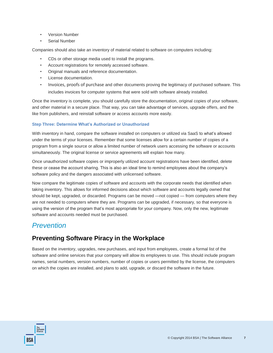- Version Number
- Serial Number

Companies should also take an inventory of material related to software on computers including:

- CDs or other storage media used to install the programs.
- Account registrations for remotely accessed software.
- Original manuals and reference documentation.
- License documentation.
- Invoices, proofs of purchase and other documents proving the legitimacy of purchased software. This includes invoices for computer systems that were sold with software already installed.

Once the inventory is complete, you should carefully store the documentation, original copies of your software, and other material in a secure place. That way, you can take advantage of services, upgrade offers, and the like from publishers, and reinstall software or access accounts more easily.

#### **Step Three: Determine What's Authorized or Unauthorized**

With inventory in hand, compare the software installed on computers or utilized via SaaS to what's allowed under the terms of your licenses. Remember that some licenses allow for a certain number of copies of a program from a single source or allow a limited number of network users accessing the software or accounts simultaneously. The original license or service agreements will explain how many.

Once unauthorized software copies or improperly utilized account registrations have been identified, delete these or cease the account sharing. This is also an ideal time to remind employees about the company's software policy and the dangers associated with unlicensed software.

Now compare the legitimate copies of software and accounts with the corporate needs that identified when taking inventory. This allows for informed decisions about which software and accounts legally owned that should be kept, upgraded, or discarded. Programs can be moved —not copied — from computers where they are not needed to computers where they are. Programs can be upgraded, if necessary, so that everyone is using the version of the program that's most appropriate for your company. Now, only the new, legitimate software and accounts needed must be purchased.

### *Prevention*

### **Preventing Software Piracy in the Workplace**

Based on the inventory, upgrades, new purchases, and input from employees, create a formal list of the software and online services that your company will allow its employees to use. This should include program names, serial numbers, version numbers, number of copies or users permitted by the license, the computers on which the copies are installed, and plans to add, upgrade, or discard the software in the future.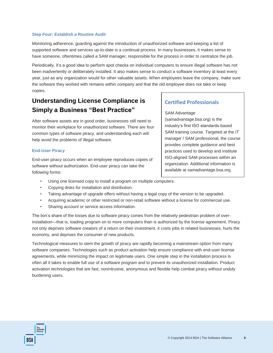#### **Step Four: Establish a Routine Audit**

Monitoring adherence, guarding against the introduction of unauthorized software and keeping a list of supported software and services up-to-date is a continual process. In many businesses, it makes sense to have someone, oftentimes called a SAM manager, responsible for the process in order to centralize the job.

Periodically, it's a good idea to perform spot checks on individual computers to ensure illegal software has not been inadvertently or deliberately installed. It also makes sense to conduct a software inventory at least every year, just as any organization would for other valuable assets. When employees leave the company, make sure the software they worked with remains within company and that the old employee does not take or keep copies.

## **Understanding License Compliance is Simply a Business "Best Practice"**

After software assets are in good order, businesses still need to monitor their workplace for unauthorized software. There are four common types of software piracy, and understanding each will help avoid the problems of illegal software.

#### **End-User Piracy**

End-user piracy occurs when an employee reproduces copies of software without authorization. End-user piracy can take the following forms:

- Using one licensed copy to install a program on multiple computers.
- Copying disks for installation and distribution.
- Taking advantage of upgrade offers without having a legal copy of the version to be upgraded.
- Acquiring academic or other restricted or non-retail software without a license for commercial use.
- Sharing account or service access information.

The lion's share of the losses due to software piracy comes from the relatively pedestrian problem of overinstallation—that is, loading program on to more computers than is authorized by the license agreement. Piracy not only deprives software creators of a return on their investment, it costs jobs in related businesses, hurts the economy, and deprives the consumer of new products.

Technological measures to stem the growth of piracy are rapidly becoming a mainstream option from many software companies. Technologies such as product activation help ensure compliance with end-user license agreements, while minimizing the impact on legitimate users. One simple step in the installation process is often all it takes to enable full use of a software program and to prevent its unauthorized installation. Product activation technologies that are fast, nonintrusive, anonymous and flexible help combat piracy without unduly burdening users.

### **Certified Professionals**

#### SAM Advantage

(samadvantage.bsa.org) is the industry's first ISO standards-based SAM training course. Targeted at the IT manager / SAM professional, the course provides complete guidance and best practices used to develop and institute ISO-aligned SAM processes within an organization. Additional information is available at samadvantage.bsa.org.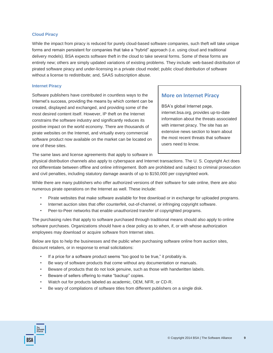#### **Cloud Piracy**

While the impact from piracy is reduced for purely cloud-based software companies, such theft will take unique forms and remain persistent for companies that take a "hybrid" approach (i.e. using cloud and traditional delivery models). BSA expects software theft in the cloud to take several forms. Some of these forms are entirely new; others are simply updated variations of existing problems. They include: web-based distribution of pirated software piracy and under-licensing in a private cloud model; public cloud distribution of software without a license to redistribute; and, SAAS subscription abuse.

#### **Internet Piracy**

Software publishers have contributed in countless ways to the Internet's success, providing the means by which content can be created, displayed and exchanged, and providing some of the most desired content itself. However, IP theft on the Internet constrains the software industry and significantly reduces its positive impact on the world economy. There are thousands of pirate websites on the Internet, and virtually every commercial software product now available on the market can be located on one of these sites.

### **More on Internet Piracy**

BSA's global Internet page, internet.bsa.org, provides up-to-date information about the threats associated with internet piracy. The site has an extensive news section to learn about the most recent threats that software users need to know.

The same laws and license agreements that apply to software in

physical distribution channels also apply to cyberspace and Internet transactions. The U. S. Copyright Act does not differentiate between offline and online infringement. Both are prohibited and subject to criminal prosecution and civil penalties, including statutory damage awards of up to \$150,000 per copyrighted work.

While there are many publishers who offer authorized versions of their software for sale online, there are also numerous pirate operations on the Internet as well. These include:

- Pirate websites that make software available for free download or in exchange for uploaded programs.
- Internet auction sites that offer counterfeit, out-of-channel, or infringing copyright software.
- Peer-to-Peer networks that enable unauthorized transfer of copyrighted programs.

The purchasing rules that apply to software purchased through traditional means should also apply to online software purchases. Organizations should have a clear policy as to when, if, or with whose authorization employees may download or acquire software from Internet sites.

Below are tips to help the businesses and the public when purchasing software online from auction sites, discount retailers, or in response to email solicitations:

- If a price for a software product seems "too good to be true," it probably is.
- Be wary of software products that come without any documentation or manuals.
- Beware of products that do not look genuine, such as those with handwritten labels.
- Beware of sellers offering to make "backup" copies.
- Watch out for products labeled as academic, OEM, NFR, or CD-R.
- Be wary of compilations of software titles from different publishers on a single disk.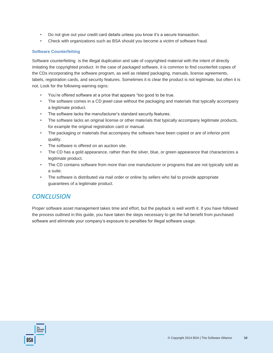- Do not give out your credit card details unless you know it's a secure transaction.
- Check with organizations such as BSA should you become a victim of software fraud.

### **Software Counterfeiting**

Software counterfeiting is the illegal duplication and sale of copyrighted material with the intent of directly imitating the copyrighted product. In the case of packaged software, it is common to find counterfeit copies of the CDs incorporating the software program, as well as related packaging, manuals, license agreements, labels, registration cards, and security features. Sometimes it is clear the product is not legitimate, but often it is not. Look for the following warning signs:

- You're offered software at a price that appears "too good to be true.
- The software comes in a CD jewel case without the packaging and materials that typically accompany a legitimate product.
- The software lacks the manufacturer's standard security features.
- The software lacks an original license or other materials that typically accompany legitimate products, for example the original registration card or manual.
- The packaging or materials that accompany the software have been copied or are of inferior print quality.
- The software is offered on an auction site.
- The CD has a gold appearance, rather than the silver, blue, or green appearance that characterizes a legitimate product.
- The CD contains software from more than one manufacturer or programs that are not typically sold as a suite.
- The software is distributed via mail order or online by sellers who fail to provide appropriate guarantees of a legitimate product.

### *CONCLUSION*

Proper software asset management takes time and effort, but the payback is well worth it. If you have followed the process outlined in this guide, you have taken the steps necessary to get the full benefit from purchased software and eliminate your company's exposure to penalties for illegal software usage.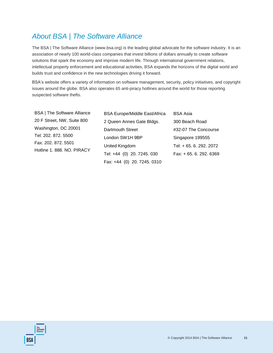## *About BSA | The Software Alliance*

**BSA** 

The BSA | The Software Alliance (www.bsa.org) is the leading global advocate for the software industry. It is an association of nearly 100 world-class companies that invest billions of dollars annually to create software solutions that spark the economy and improve modern life. Through international government relations, intellectual property enforcement and educational activities, BSA expands the horizons of the digital world and builds trust and confidence in the new technologies driving it forward.

BSA's website offers a variety of information on software management, security, policy initiatives, and copyright issues around the globe. BSA also operates 65 anti-piracy hotlines around the world for those reporting suspected software thefts.

| <b>BSA   The Software Alliance</b>                                       | <b>BSA Europe/Middle East/Africa</b> | <b>BSA Asia</b>         |
|--------------------------------------------------------------------------|--------------------------------------|-------------------------|
| 20 F Street, NW, Suite 800                                               | 2 Queen Annes Gate Bldgs.            | 300 Beach Road          |
| Washington, DC 20001                                                     | <b>Dartmouth Street</b>              | #32-07 The Concourse    |
| Tel: 202. 872. 5500<br>Fax: 202. 872. 5501<br>Hotline 1. 888. NO. PIRACY | London SW1H 9BP                      | Singapore 199555        |
|                                                                          | United Kingdom                       | Tel: + 65, 6, 292, 2072 |
|                                                                          | Tel: +44 (0) 20. 7245. 030           | Fax: +65.6.292.6369     |
|                                                                          | Fax: +44 (0) 20. 7245. 0310          |                         |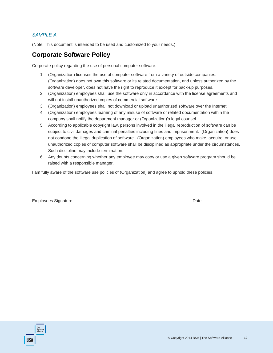### *SAMPLE A*

(Note: This document is intended to be used and customized to your needs.)

## **Corporate Software Policy**

Corporate policy regarding the use of personal computer software.

- 1. (Organization) licenses the use of computer software from a variety of outside companies. (Organization) does not own this software or its related documentation, and unless authorized by the software developer, does not have the right to reproduce it except for back-up purposes.
- 2. (Organization) employees shall use the software only in accordance with the license agreements and will not install unauthorized copies of commercial software.
- 3. (Organization) employees shall not download or upload unauthorized software over the Internet.
- 4. (Organization) employees learning of any misuse of software or related documentation within the company shall notify the department manager or (Organization)'s legal counsel.
- 5. According to applicable copyright law, persons involved in the illegal reproduction of software can be subject to civil damages and criminal penalties including fines and imprisonment. (Organization) does not condone the illegal duplication of software. (Organization) employees who make, acquire, or use unauthorized copies of computer software shall be disciplined as appropriate under the circumstances. Such discipline may include termination.
- 6. Any doubts concerning whether any employee may copy or use a given software program should be raised with a responsible manager.

I am fully aware of the software use policies of (Organization) and agree to uphold these policies.

Employees Signature **Date** Date of *Employees* Signature **Date** 

\_\_\_\_\_\_\_\_\_\_\_\_\_\_\_\_\_\_\_\_\_\_\_\_\_\_\_\_\_\_\_\_\_\_\_\_\_\_ \_\_\_\_\_\_\_\_\_\_\_\_\_\_\_\_\_\_\_\_\_\_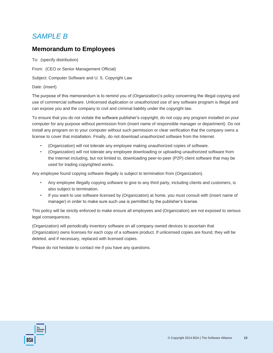## *SAMPLE B*

## **Memorandum to Employees**

To: (specify distribution)

From: (CEO or Senior Management Official)

Subject: Computer Software and U. S. Copyright Law

Date: (insert)

The purpose of this memorandum is to remind you of (Organization)'s policy concerning the illegal copying and use of commercial software. Unlicensed duplication or unauthorized use of any software program is illegal and can expose you and the company to civil and criminal liability under the copyright law.

To ensure that you do not violate the software publisher's copyright, do not copy any program installed on your computer for any purpose without permission from (insert name of responsible manager or department). Do not install any program on to your computer without such permission or clear verification that the company owns a license to cover that installation. Finally, do not download unauthorized software from the Internet.

- (Organization) will not tolerate any employee making unauthorized copies of software.
- (Organization) will not tolerate any employee downloading or uploading unauthorized software from the Internet including, but not limited to, downloading peer-to-peer (P2P) client software that may be used for trading copyrighted works.

Any employee found copying software illegally is subject to termination from (Organization).

- Any employee illegally copying software to give to any third party, including clients and customers, is also subject to termination.
- If you want to use software licensed by (Organization) at home, you must consult with (insert name of manager) in order to make sure such use is permitted by the publisher's license.

This policy will be strictly enforced to make ensure all employees and (Organization) are not exposed to serious legal consequences.

(Organization) will periodically inventory software on all company owned devices to ascertain that (Organization) owns licenses for each copy of a software product. If unlicensed copies are found, they will be deleted, and if necessary, replaced with licensed copies.

Please do not hesitate to contact me if you have any questions.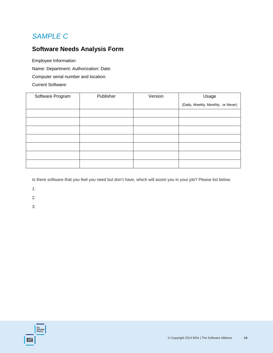## *SAMPLE C*

## **Software Needs Analysis Form**

Employee Information: Name: Department: Authorization: Date: Computer serial number and location: Current Software:

| Software Program | Publisher | Version | Usage                              |
|------------------|-----------|---------|------------------------------------|
|                  |           |         | (Daily, Weekly, Monthly, or Never) |
|                  |           |         |                                    |
|                  |           |         |                                    |
|                  |           |         |                                    |
|                  |           |         |                                    |
|                  |           |         |                                    |
|                  |           |         |                                    |
|                  |           |         |                                    |

Is there software that you feel you need but don't have, which will assist you in your job? Please list below.

1:

2:

3: